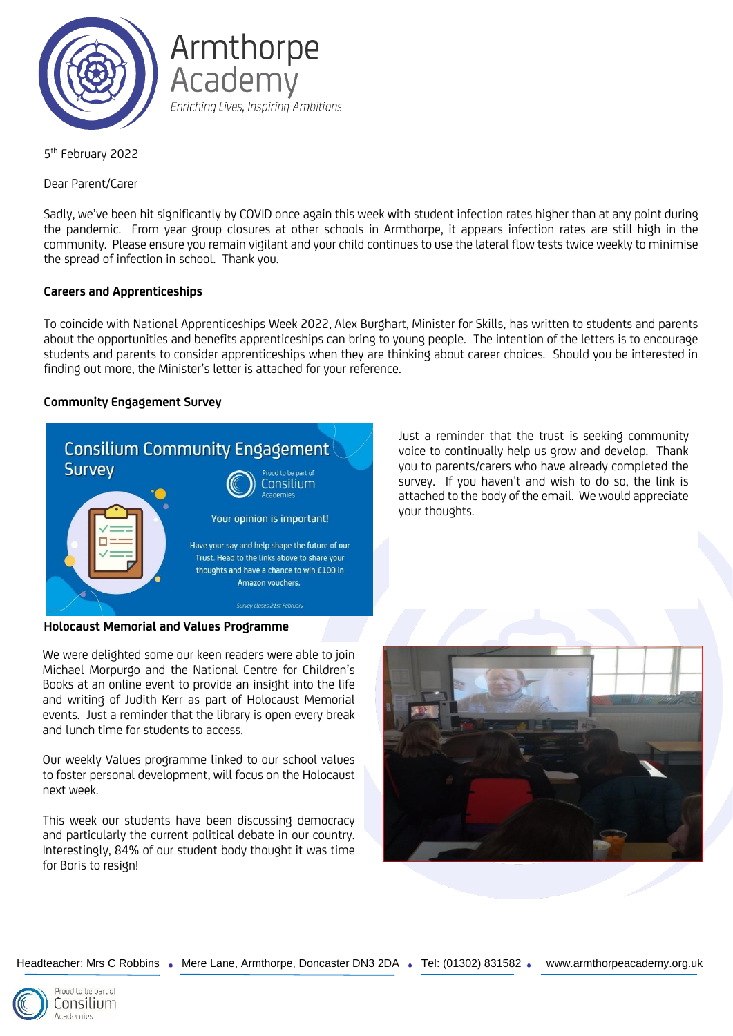

Armthorpe Academy Enriching Lives, Inspiring Ambitions

5<sup>th</sup> February 2022

Dear Parent/Carer

Sadly, we've been hit significantly by COVID once again this week with student infection rates higher than at any point during the pandemic. From year group closures at other schools in Armthorpe, it appears infection rates are still high in the community. Please ensure you remain vigilant and your child continues to use the lateral flow tests twice weekly to minimise the spread of infection in school. Thank you.

# **Careers and Apprenticeships**

To coincide with National Apprenticeships Week 2022, Alex Burghart, Minister for Skills, has written to students and parents about the opportunities and benefits apprenticeships can bring to young people. The intention of the letters is to encourage students and parents to consider apprenticeships when they are thinking about career choices. Should you be interested in finding out more, the Minister's letter is attached for your reference.

# **Community Engagement Survey**



**Holocaust Memorial and Values Programme**

We were delighted some our keen readers were able to join Michael Morpurgo and the National Centre for Children's Books at an online event to provide an insight into the life and writing of Judith Kerr as part of Holocaust Memorial events. Just a reminder that the library is open every break and lunch time for students to access.

Our weekly Values programme linked to our school values to foster personal development, will focus on the Holocaust next week.

This week our students have been discussing democracy and particularly the current political debate in our country. Interestingly, 84% of our student body thought it was time for Boris to resign!

Just a reminder that the trust is seeking community voice to continually help us grow and develop. Thank you to parents/carers who have already completed the survey. If you haven't and wish to do so, the link is attached to the body of the email. We would appreciate your thoughts.



Headteacher: Mrs C Robbins . Mere Lane, Armthorpe, Doncaster DN3 2DA . Tel: (01302) 831582 . www.armthorpeacademy.org.uk

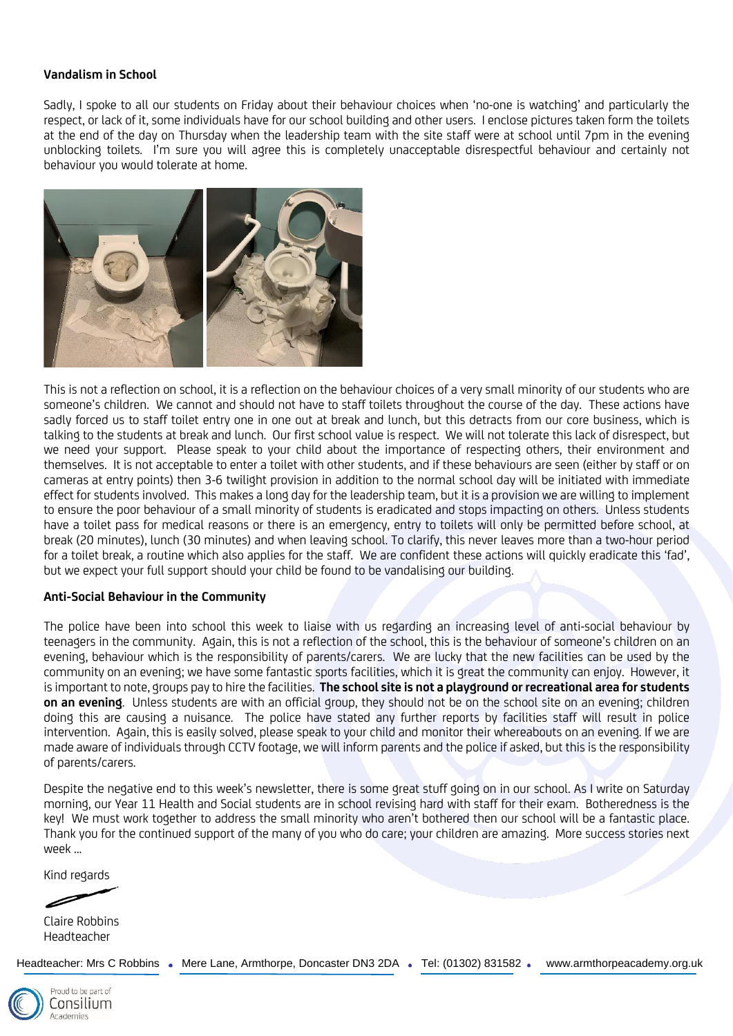### **Vandalism in School**

Sadly, I spoke to all our students on Friday about their behaviour choices when 'no-one is watching' and particularly the respect, or lack of it, some individuals have for our school building and other users. I enclose pictures taken form the toilets at the end of the day on Thursday when the leadership team with the site staff were at school until 7pm in the evening unblocking toilets. I'm sure you will agree this is completely unacceptable disrespectful behaviour and certainly not behaviour you would tolerate at home.



This is not a reflection on school, it is a reflection on the behaviour choices of a very small minority of our students who are someone's children. We cannot and should not have to staff toilets throughout the course of the day. These actions have sadly forced us to staff toilet entry one in one out at break and lunch, but this detracts from our core business, which is talking to the students at break and lunch. Our first school value is respect. We will not tolerate this lack of disrespect, but we need your support. Please speak to your child about the importance of respecting others, their environment and themselves. It is not acceptable to enter a toilet with other students, and if these behaviours are seen (either by staff or on cameras at entry points) then 3-6 twilight provision in addition to the normal school day will be initiated with immediate effect for students involved. This makes a long day for the leadership team, but it is a provision we are willing to implement to ensure the poor behaviour of a small minority of students is eradicated and stops impacting on others. Unless students have a toilet pass for medical reasons or there is an emergency, entry to toilets will only be permitted before school, at break (20 minutes), lunch (30 minutes) and when leaving school. To clarify, this never leaves more than a two-hour period for a toilet break, a routine which also applies for the staff. We are confident these actions will quickly eradicate this 'fad', but we expect your full support should your child be found to be vandalising our building.

#### **Anti-Social Behaviour in the Community**

The police have been into school this week to liaise with us regarding an increasing level of anti-social behaviour by teenagers in the community. Again, this is not a reflection of the school, this is the behaviour of someone's children on an evening, behaviour which is the responsibility of parents/carers. We are lucky that the new facilities can be used by the community on an evening; we have some fantastic sports facilities, which it is great the community can enjoy. However, it is important to note, groups pay to hire the facilities. **The school site is not a playground or recreational area for students on an evening**. Unless students are with an official group, they should not be on the school site on an evening; children doing this are causing a nuisance. The police have stated any further reports by facilities staff will result in police intervention. Again, this is easily solved, please speak to your child and monitor their whereabouts on an evening. If we are made aware of individuals through CCTV footage, we will inform parents and the police if asked, but this is the responsibility of parents/carers.

Despite the negative end to this week's newsletter, there is some great stuff going on in our school. As I write on Saturday morning, our Year 11 Health and Social students are in school revising hard with staff for their exam. Botheredness is the key! We must work together to address the small minority who aren't bothered then our school will be a fantastic place. Thank you for the continued support of the many of you who do care; your children are amazing. More success stories next week …

Kind regards

Claire Robbins Headteacher

Headteacher: Mrs C Robbins . Mere Lane, Armthorpe, Doncaster DN3 2DA . Tel: (01302) 831582 . www.armthorpeacademy.org.uk